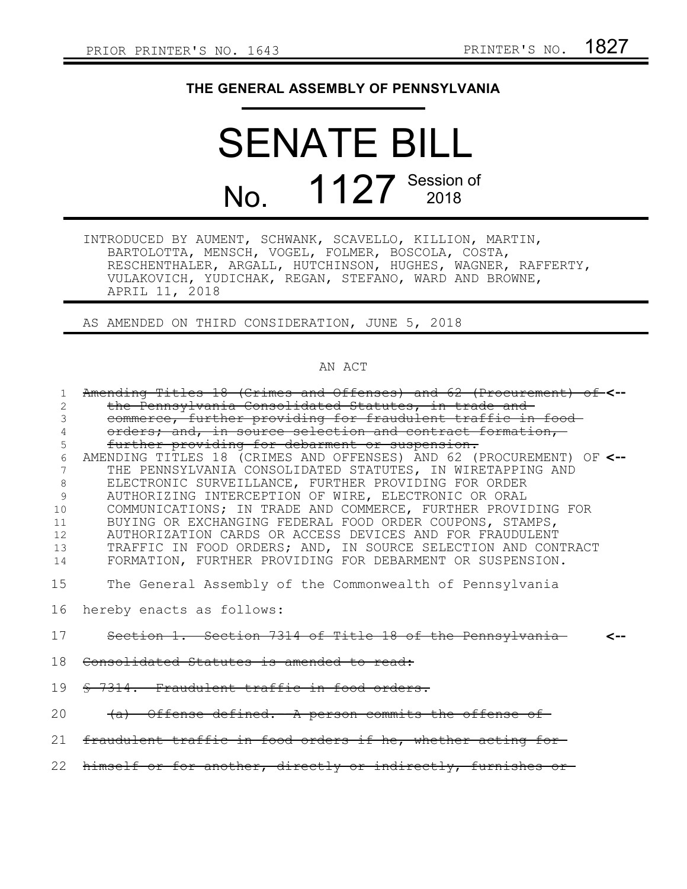## **THE GENERAL ASSEMBLY OF PENNSYLVANIA**

## SENATE BILL No. 1127 Session of

INTRODUCED BY AUMENT, SCHWANK, SCAVELLO, KILLION, MARTIN, BARTOLOTTA, MENSCH, VOGEL, FOLMER, BOSCOLA, COSTA, RESCHENTHALER, ARGALL, HUTCHINSON, HUGHES, WAGNER, RAFFERTY, VULAKOVICH, YUDICHAK, REGAN, STEFANO, WARD AND BROWNE, APRIL 11, 2018

AS AMENDED ON THIRD CONSIDERATION, JUNE 5, 2018

## AN ACT

| Amending Titles 18 (Crimes and Offenses) and 62 (Procurement) of-<--<br>the Pennsylvania Consolidated Statutes, in trade and<br>commerce, further providing for fraudulent traffic in food-<br>orders; and, in source selection and contract formation,                                                                                                                                                                                                                                                                                                                                                                    |
|----------------------------------------------------------------------------------------------------------------------------------------------------------------------------------------------------------------------------------------------------------------------------------------------------------------------------------------------------------------------------------------------------------------------------------------------------------------------------------------------------------------------------------------------------------------------------------------------------------------------------|
| further providing for debarment or suspension.<br>AMENDING TITLES 18 (CRIMES AND OFFENSES) AND 62 (PROCUREMENT) OF <--<br>THE PENNSYLVANIA CONSOLIDATED STATUTES, IN WIRETAPPING AND<br>ELECTRONIC SURVEILLANCE, FURTHER PROVIDING FOR ORDER<br>AUTHORIZING INTERCEPTION OF WIRE, ELECTRONIC OR ORAL<br>COMMUNICATIONS; IN TRADE AND COMMERCE, FURTHER PROVIDING FOR<br>BUYING OR EXCHANGING FEDERAL FOOD ORDER COUPONS, STAMPS,<br>AUTHORIZATION CARDS OR ACCESS DEVICES AND FOR FRAUDULENT<br>TRAFFIC IN FOOD ORDERS; AND, IN SOURCE SELECTION AND CONTRACT<br>FORMATION, FURTHER PROVIDING FOR DEBARMENT OR SUSPENSION. |
| The General Assembly of the Commonwealth of Pennsylvania<br>hereby enacts as follows:                                                                                                                                                                                                                                                                                                                                                                                                                                                                                                                                      |
| Section 1. Section 7314 of Title 18 of the Pennsylvania<br>Consolidated Statutes is amended to read:                                                                                                                                                                                                                                                                                                                                                                                                                                                                                                                       |
| \$ 7314. Fraudulent traffic in food orders.<br>(a) Offense defined. A person commits the offense of                                                                                                                                                                                                                                                                                                                                                                                                                                                                                                                        |
| fraudulent traffic in food orders if he, whether acting for-<br>himself or for another, directly or indirectly, furnishes or                                                                                                                                                                                                                                                                                                                                                                                                                                                                                               |
|                                                                                                                                                                                                                                                                                                                                                                                                                                                                                                                                                                                                                            |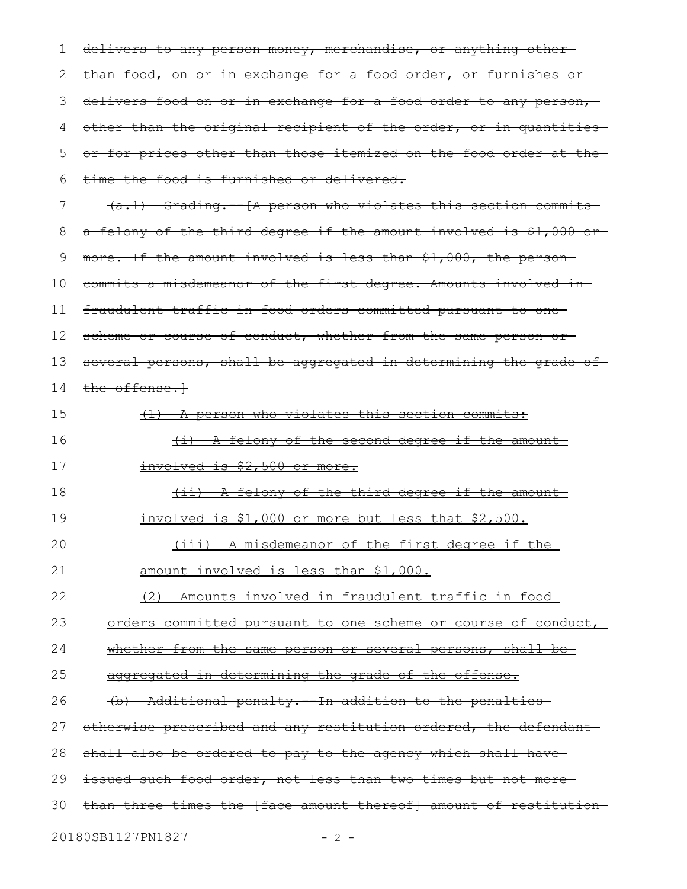| 1  | delivers to any person money, merchandise, or anything other       |
|----|--------------------------------------------------------------------|
| 2  | than food, on or in exchange for a food order, or furnishes or-    |
| 3  | delivers food on or in exchange for a food order to any person,    |
| 4  | other than the original recipient of the order, or in quantities   |
| 5  | or for prices other than those itemized on the food order at the   |
| 6  | time the food is furnished or delivered.                           |
| 7  | $(a.1)$ Grading. $[A]$ person who violates this section commits    |
| 8  | a felony of the third degree if the amount involved is \$1,000 or- |
| 9  | more. If the amount involved is less than \$1,000, the person-     |
| 10 | commits a misdemeanor of the first degree. Amounts involved in-    |
| 11 | fraudulent traffic in food orders committed pursuant to one-       |
| 12 | scheme or course of conduct, whether from the same person or-      |
| 13 | several persons, shall be aggregated in determining the grade of-  |
| 14 | the offense. <sup>1</sup>                                          |
| 15 | (1) A person who violates this section commits:                    |
| 16 | <u>(i) A felony of the second degree if the amount-</u>            |
| 17 | <u>involved is \$2,500 or more.</u>                                |
| 18 | <u>(ii) A felony of the third degree if the amount-</u>            |
| 19 | involved is \$1,000 or more but less that \$2,500.                 |
| 20 | (iii) A misdemeanor of the first degree if the                     |
| 21 | amount involved is less than \$1,000.                              |
| 22 | (2) Amounts involved in fraudulent traffic in food-                |
| 23 | orders committed pursuant to one scheme or course of conduct,      |
| 24 | whether from the same person or several persons, shall be-         |
| 25 | aggregated in determining the grade of the offense.                |
| 26 | (b) Additional penalty. In addition to the penalties               |
| 27 | otherwise prescribed and any restitution ordered, the defendant    |
| 28 | shall also be ordered to pay to the agency which shall have-       |
| 29 | issued such food order, not less than two times but not more       |
| 30 | than three times the [face amount thereof] amount of restitution   |
|    | 20180SB1127PN1827<br>$-2-$                                         |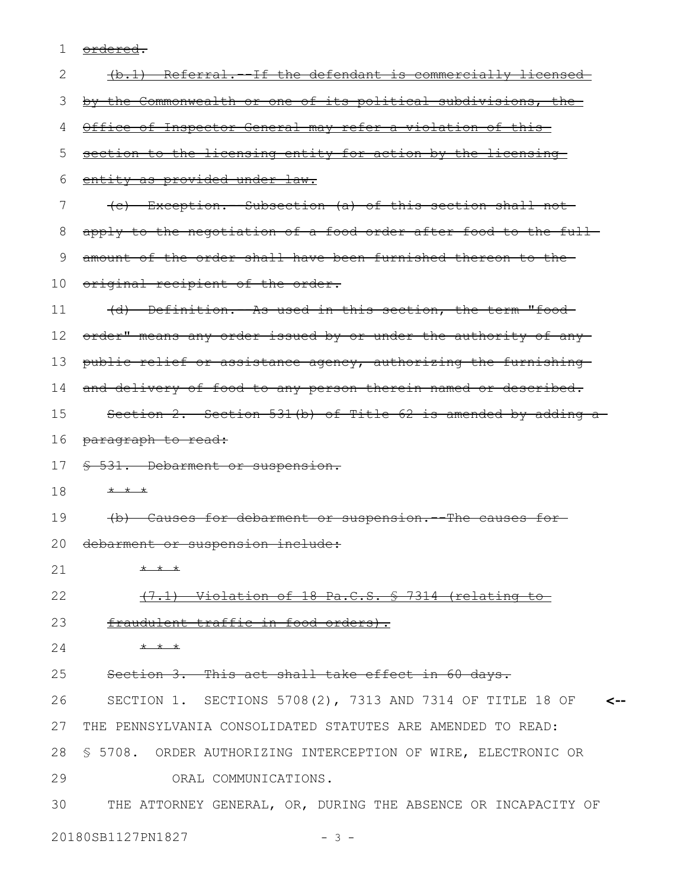1 <u>ordered</u>.

| 2  | (b.1) Referral. If the defendant is commercially licensed           |
|----|---------------------------------------------------------------------|
| З  | by the Commonwealth or one of its political subdivisions, the       |
| 4  | Office of Inspector General may refer a violation of this-          |
| 5  | section to the licensing entity for action by the licensing         |
| 6  | entity as provided under law.                                       |
| 7  | (c) Exception. -- Subsection (a) of this section shall not-         |
| 8  | apply to the negotiation of a food order after food to the full-    |
| 9  | amount of the order shall have been furnished thereon to the-       |
| 10 | original recipient of the order.                                    |
| 11 | (d) Definition. - As used in this section, the term "food-          |
| 12 | order" means any order issued by or under the authority of any      |
| 13 | public relief or assistance agency, authorizing the furnishing      |
| 14 | and delivery of food to any person therein named or described.      |
| 15 | Section 2. Section 531(b) of Title 62 is amended by adding a        |
| 16 | paragraph to read:                                                  |
| 17 | \$ 531. Debarment or suspension.                                    |
| 18 | $+$ $+$ $+$                                                         |
| 19 | (b) Causes for debarment or suspension. The causes for-             |
| 20 | debarment or suspension include:                                    |
| 21 | $* * *$                                                             |
| 22 | (7.1) Violation of 18 Pa.C.S. § 7314 (relating to                   |
| 23 | fraudulent traffic in food orders).                                 |
| 24 | $+$ $+$ $+$                                                         |
| 25 | Section 3. This act shall take effect in 60 days.                   |
| 26 | SECTION 1. SECTIONS 5708(2), 7313 AND 7314 OF TITLE 18 OF $\sim$ -- |
| 27 | THE PENNSYLVANIA CONSOLIDATED STATUTES ARE AMENDED TO READ:         |
| 28 | § 5708. ORDER AUTHORIZING INTERCEPTION OF WIRE, ELECTRONIC OR       |
| 29 | ORAL COMMUNICATIONS.                                                |
| 30 | THE ATTORNEY GENERAL, OR, DURING THE ABSENCE OR INCAPACITY OF       |
|    | 20180SB1127PN1827<br>$-3-$                                          |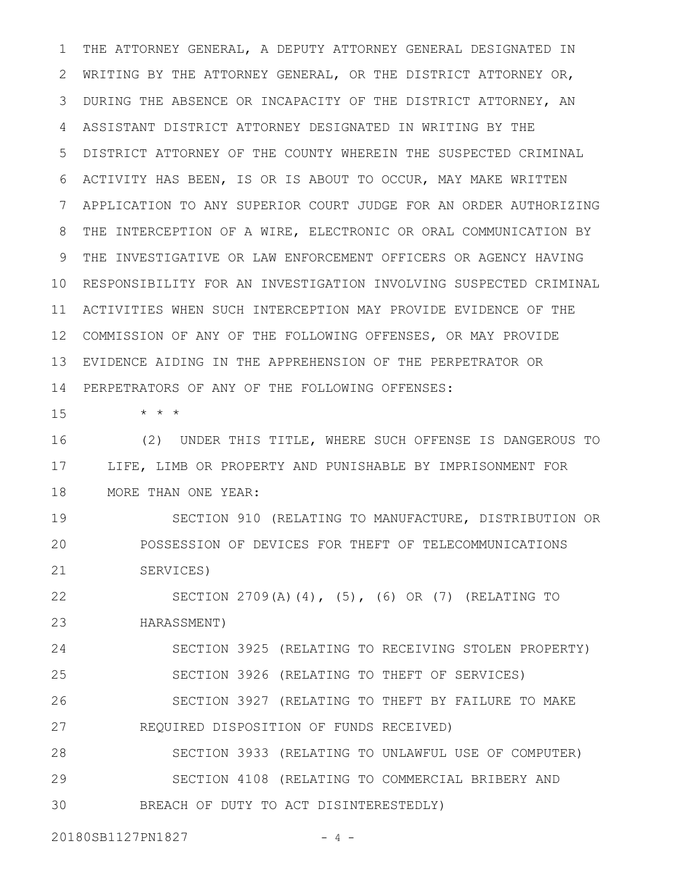THE ATTORNEY GENERAL, A DEPUTY ATTORNEY GENERAL DESIGNATED IN WRITING BY THE ATTORNEY GENERAL, OR THE DISTRICT ATTORNEY OR, DURING THE ABSENCE OR INCAPACITY OF THE DISTRICT ATTORNEY, AN ASSISTANT DISTRICT ATTORNEY DESIGNATED IN WRITING BY THE DISTRICT ATTORNEY OF THE COUNTY WHEREIN THE SUSPECTED CRIMINAL ACTIVITY HAS BEEN, IS OR IS ABOUT TO OCCUR, MAY MAKE WRITTEN APPLICATION TO ANY SUPERIOR COURT JUDGE FOR AN ORDER AUTHORIZING THE INTERCEPTION OF A WIRE, ELECTRONIC OR ORAL COMMUNICATION BY THE INVESTIGATIVE OR LAW ENFORCEMENT OFFICERS OR AGENCY HAVING 10 RESPONSIBILITY FOR AN INVESTIGATION INVOLVING SUSPECTED CRIMINAL ACTIVITIES WHEN SUCH INTERCEPTION MAY PROVIDE EVIDENCE OF THE 12 COMMISSION OF ANY OF THE FOLLOWING OFFENSES, OR MAY PROVIDE EVIDENCE AIDING IN THE APPREHENSION OF THE PERPETRATOR OR PERPETRATORS OF ANY OF THE FOLLOWING OFFENSES: 14 1 2 3 4 5 6 7 8 9 11 13

15

\* \* \*

(2) UNDER THIS TITLE, WHERE SUCH OFFENSE IS DANGEROUS TO LIFE, LIMB OR PROPERTY AND PUNISHABLE BY IMPRISONMENT FOR MORE THAN ONE YEAR: 16 17 18

SECTION 910 (RELATING TO MANUFACTURE, DISTRIBUTION OR POSSESSION OF DEVICES FOR THEFT OF TELECOMMUNICATIONS SERVICES) 19 20 21

SECTION 2709(A)(4), (5), (6) OR (7) (RELATING TO HARASSMENT) 22 23

SECTION 3925 (RELATING TO RECEIVING STOLEN PROPERTY) SECTION 3926 (RELATING TO THEFT OF SERVICES) SECTION 3927 (RELATING TO THEFT BY FAILURE TO MAKE REQUIRED DISPOSITION OF FUNDS RECEIVED) 24 25 26 27

SECTION 3933 (RELATING TO UNLAWFUL USE OF COMPUTER) SECTION 4108 (RELATING TO COMMERCIAL BRIBERY AND BREACH OF DUTY TO ACT DISINTERESTEDLY) 28 29 30

20180SB1127PN1827 - 4 -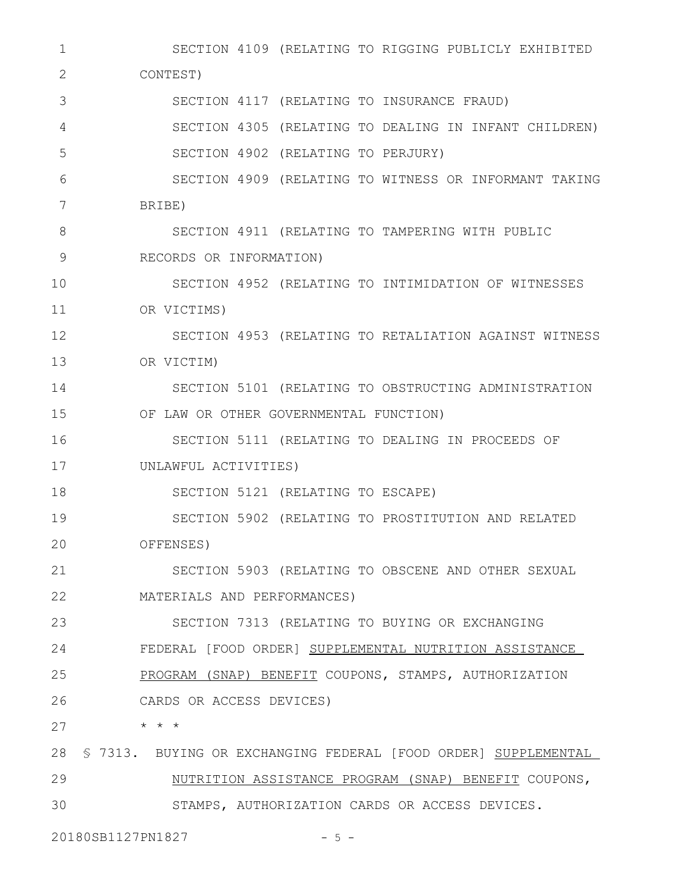SECTION 4109 (RELATING TO RIGGING PUBLICLY EXHIBITED CONTEST) SECTION 4117 (RELATING TO INSURANCE FRAUD) SECTION 4305 (RELATING TO DEALING IN INFANT CHILDREN) SECTION 4902 (RELATING TO PERJURY) SECTION 4909 (RELATING TO WITNESS OR INFORMANT TAKING BRIBE) SECTION 4911 (RELATING TO TAMPERING WITH PUBLIC RECORDS OR INFORMATION) SECTION 4952 (RELATING TO INTIMIDATION OF WITNESSES OR VICTIMS) SECTION 4953 (RELATING TO RETALIATION AGAINST WITNESS OR VICTIM) SECTION 5101 (RELATING TO OBSTRUCTING ADMINISTRATION OF LAW OR OTHER GOVERNMENTAL FUNCTION) SECTION 5111 (RELATING TO DEALING IN PROCEEDS OF UNLAWFUL ACTIVITIES) SECTION 5121 (RELATING TO ESCAPE) SECTION 5902 (RELATING TO PROSTITUTION AND RELATED OFFENSES) SECTION 5903 (RELATING TO OBSCENE AND OTHER SEXUAL MATERIALS AND PERFORMANCES) SECTION 7313 (RELATING TO BUYING OR EXCHANGING FEDERAL [FOOD ORDER] SUPPLEMENTAL NUTRITION ASSISTANCE PROGRAM (SNAP) BENEFIT COUPONS, STAMPS, AUTHORIZATION CARDS OR ACCESS DEVICES) \* \* \* 28 S 7313. BUYING OR EXCHANGING FEDERAL [FOOD ORDER] SUPPLEMENTAL NUTRITION ASSISTANCE PROGRAM (SNAP) BENEFIT COUPONS, STAMPS, AUTHORIZATION CARDS OR ACCESS DEVICES. 1 2 3 4 5 6 7 8 9 10 11 12 13 14 15 16 17 18 19 20 21 22 23 24 25 26 27 29 30

20180SB1127PN1827 - 5 -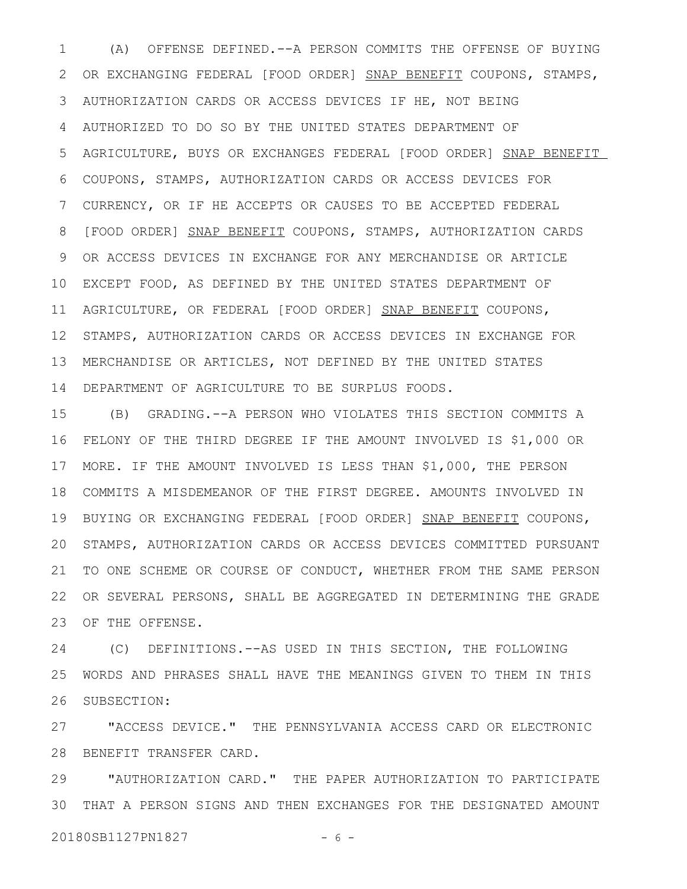(A) OFFENSE DEFINED.--A PERSON COMMITS THE OFFENSE OF BUYING OR EXCHANGING FEDERAL [FOOD ORDER] SNAP BENEFIT COUPONS, STAMPS, AUTHORIZATION CARDS OR ACCESS DEVICES IF HE, NOT BEING AUTHORIZED TO DO SO BY THE UNITED STATES DEPARTMENT OF AGRICULTURE, BUYS OR EXCHANGES FEDERAL [FOOD ORDER] SNAP BENEFIT COUPONS, STAMPS, AUTHORIZATION CARDS OR ACCESS DEVICES FOR CURRENCY, OR IF HE ACCEPTS OR CAUSES TO BE ACCEPTED FEDERAL [FOOD ORDER] SNAP BENEFIT COUPONS, STAMPS, AUTHORIZATION CARDS OR ACCESS DEVICES IN EXCHANGE FOR ANY MERCHANDISE OR ARTICLE EXCEPT FOOD, AS DEFINED BY THE UNITED STATES DEPARTMENT OF AGRICULTURE, OR FEDERAL [FOOD ORDER] SNAP BENEFIT COUPONS, STAMPS, AUTHORIZATION CARDS OR ACCESS DEVICES IN EXCHANGE FOR MERCHANDISE OR ARTICLES, NOT DEFINED BY THE UNITED STATES DEPARTMENT OF AGRICULTURE TO BE SURPLUS FOODS. 1 2 3 4 5 6 7 8 9 10 11 12 13 14

(B) GRADING.--A PERSON WHO VIOLATES THIS SECTION COMMITS A FELONY OF THE THIRD DEGREE IF THE AMOUNT INVOLVED IS \$1,000 OR MORE. IF THE AMOUNT INVOLVED IS LESS THAN \$1,000, THE PERSON COMMITS A MISDEMEANOR OF THE FIRST DEGREE. AMOUNTS INVOLVED IN 19 BUYING OR EXCHANGING FEDERAL [FOOD ORDER] SNAP BENEFIT COUPONS, STAMPS, AUTHORIZATION CARDS OR ACCESS DEVICES COMMITTED PURSUANT TO ONE SCHEME OR COURSE OF CONDUCT, WHETHER FROM THE SAME PERSON OR SEVERAL PERSONS, SHALL BE AGGREGATED IN DETERMINING THE GRADE OF THE OFFENSE. 15 16 17 18 20 21 22 23

(C) DEFINITIONS.--AS USED IN THIS SECTION, THE FOLLOWING WORDS AND PHRASES SHALL HAVE THE MEANINGS GIVEN TO THEM IN THIS SUBSECTION: 24 25 26

"ACCESS DEVICE." THE PENNSYLVANIA ACCESS CARD OR ELECTRONIC 28 BENEFIT TRANSFER CARD. 27

"AUTHORIZATION CARD." THE PAPER AUTHORIZATION TO PARTICIPATE THAT A PERSON SIGNS AND THEN EXCHANGES FOR THE DESIGNATED AMOUNT 3020180SB1127PN1827 - 6 -29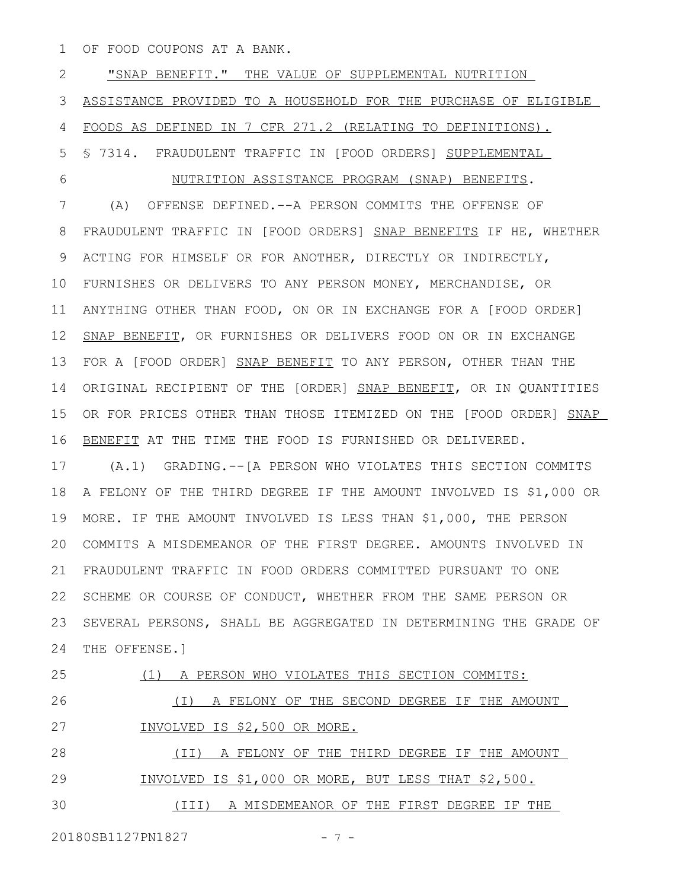OF FOOD COUPONS AT A BANK. 1

"SNAP BENEFIT." THE VALUE OF SUPPLEMENTAL NUTRITION ASSISTANCE PROVIDED TO A HOUSEHOLD FOR THE PURCHASE OF ELIGIBLE FOODS AS DEFINED IN 7 CFR 271.2 (RELATING TO DEFINITIONS). § 7314. FRAUDULENT TRAFFIC IN [FOOD ORDERS] SUPPLEMENTAL NUTRITION ASSISTANCE PROGRAM (SNAP) BENEFITS. (A) OFFENSE DEFINED.--A PERSON COMMITS THE OFFENSE OF FRAUDULENT TRAFFIC IN [FOOD ORDERS] SNAP BENEFITS IF HE, WHETHER ACTING FOR HIMSELF OR FOR ANOTHER, DIRECTLY OR INDIRECTLY, FURNISHES OR DELIVERS TO ANY PERSON MONEY, MERCHANDISE, OR ANYTHING OTHER THAN FOOD, ON OR IN EXCHANGE FOR A [FOOD ORDER] SNAP BENEFIT, OR FURNISHES OR DELIVERS FOOD ON OR IN EXCHANGE FOR A [FOOD ORDER] SNAP BENEFIT TO ANY PERSON, OTHER THAN THE ORIGINAL RECIPIENT OF THE [ORDER] SNAP BENEFIT, OR IN QUANTITIES OR FOR PRICES OTHER THAN THOSE ITEMIZED ON THE [FOOD ORDER] SNAP BENEFIT AT THE TIME THE FOOD IS FURNISHED OR DELIVERED. (A.1) GRADING.--[A PERSON WHO VIOLATES THIS SECTION COMMITS A FELONY OF THE THIRD DEGREE IF THE AMOUNT INVOLVED IS \$1,000 OR MORE. IF THE AMOUNT INVOLVED IS LESS THAN \$1,000, THE PERSON COMMITS A MISDEMEANOR OF THE FIRST DEGREE. AMOUNTS INVOLVED IN FRAUDULENT TRAFFIC IN FOOD ORDERS COMMITTED PURSUANT TO ONE 22 SCHEME OR COURSE OF CONDUCT, WHETHER FROM THE SAME PERSON OR SEVERAL PERSONS, SHALL BE AGGREGATED IN DETERMINING THE GRADE OF THE OFFENSE.] (1) A PERSON WHO VIOLATES THIS SECTION COMMITS: (I) A FELONY OF THE SECOND DEGREE IF THE AMOUNT INVOLVED IS \$2,500 OR MORE. 2 3 4 5 6 7 8 9 10 11 12 13 14 15 16 17 18 19 20 21 23 24 25 26 27

(II) A FELONY OF THE THIRD DEGREE IF THE AMOUNT INVOLVED IS \$1,000 OR MORE, BUT LESS THAT \$2,500. 28 29

(III) A MISDEMEANOR OF THE FIRST DEGREE IF THE 30

20180SB1127PN1827 - 7 -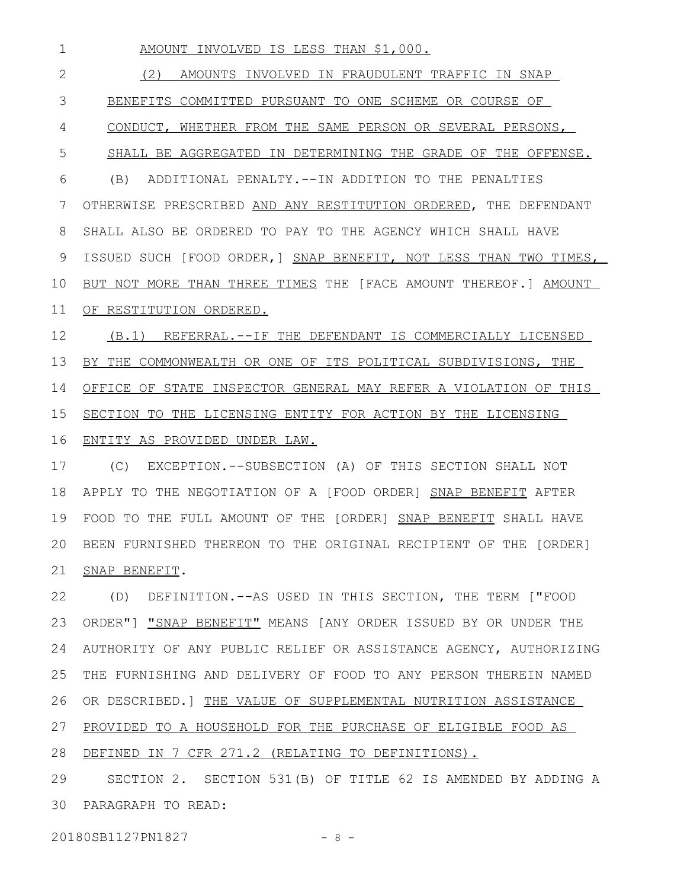AMOUNT INVOLVED IS LESS THAN \$1,000. (2) AMOUNTS INVOLVED IN FRAUDULENT TRAFFIC IN SNAP BENEFITS COMMITTED PURSUANT TO ONE SCHEME OR COURSE OF CONDUCT, WHETHER FROM THE SAME PERSON OR SEVERAL PERSONS, SHALL BE AGGREGATED IN DETERMINING THE GRADE OF THE OFFENSE. (B) ADDITIONAL PENALTY.--IN ADDITION TO THE PENALTIES OTHERWISE PRESCRIBED AND ANY RESTITUTION ORDERED, THE DEFENDANT SHALL ALSO BE ORDERED TO PAY TO THE AGENCY WHICH SHALL HAVE ISSUED SUCH [FOOD ORDER,] SNAP BENEFIT, NOT LESS THAN TWO TIMES, BUT NOT MORE THAN THREE TIMES THE [FACE AMOUNT THEREOF.] AMOUNT OF RESTITUTION ORDERED. (B.1) REFERRAL.--IF THE DEFENDANT IS COMMERCIALLY LICENSED BY THE COMMONWEALTH OR ONE OF ITS POLITICAL SUBDIVISIONS, THE OFFICE OF STATE INSPECTOR GENERAL MAY REFER A VIOLATION OF THIS SECTION TO THE LICENSING ENTITY FOR ACTION BY THE LICENSING ENTITY AS PROVIDED UNDER LAW. 1 2 3 4 5 6 7 8 9 10 11 12 13 14 15 16

(C) EXCEPTION.--SUBSECTION (A) OF THIS SECTION SHALL NOT APPLY TO THE NEGOTIATION OF A [FOOD ORDER] SNAP BENEFIT AFTER FOOD TO THE FULL AMOUNT OF THE [ORDER] SNAP BENEFIT SHALL HAVE BEEN FURNISHED THEREON TO THE ORIGINAL RECIPIENT OF THE [ORDER] 20 SNAP BENEFIT. 17 18 19 21

(D) DEFINITION.--AS USED IN THIS SECTION, THE TERM ["FOOD ORDER"] "SNAP BENEFIT" MEANS [ANY ORDER ISSUED BY OR UNDER THE AUTHORITY OF ANY PUBLIC RELIEF OR ASSISTANCE AGENCY, AUTHORIZING THE FURNISHING AND DELIVERY OF FOOD TO ANY PERSON THEREIN NAMED OR DESCRIBED.] THE VALUE OF SUPPLEMENTAL NUTRITION ASSISTANCE PROVIDED TO A HOUSEHOLD FOR THE PURCHASE OF ELIGIBLE FOOD AS 28 DEFINED IN 7 CFR 271.2 (RELATING TO DEFINITIONS). 22 23 24 25 26 27

SECTION 2. SECTION 531(B) OF TITLE 62 IS AMENDED BY ADDING A PARAGRAPH TO READ: 3029

20180SB1127PN1827 - 8 -